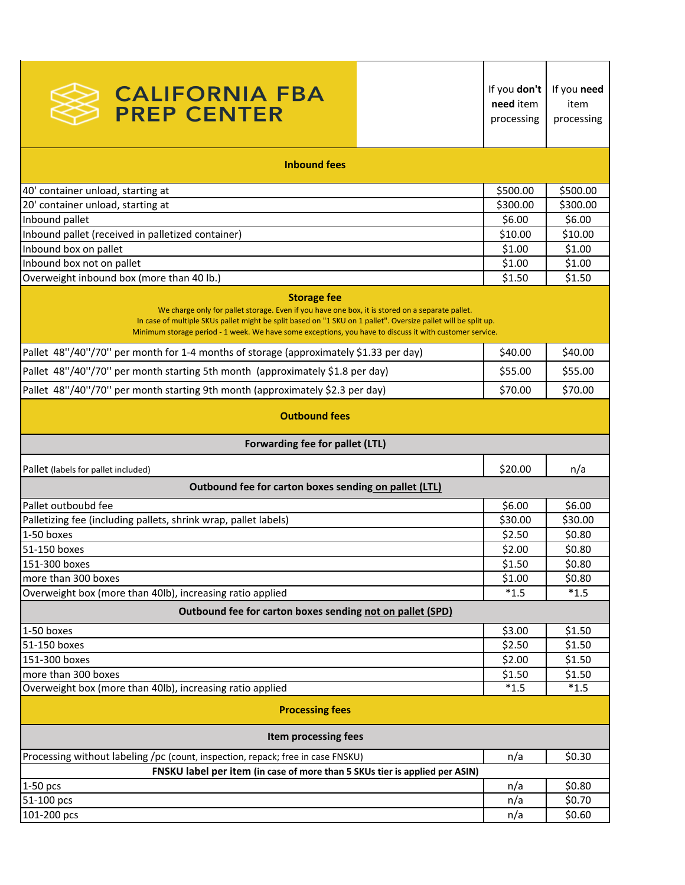| <b>CALIFORNIA FBA</b><br><b>PREP CENTER</b>                                                                                                                                                                                                                                                                                                        | If you don't<br>need item<br>processing | If you need<br>item<br>processing |  |
|----------------------------------------------------------------------------------------------------------------------------------------------------------------------------------------------------------------------------------------------------------------------------------------------------------------------------------------------------|-----------------------------------------|-----------------------------------|--|
| <b>Inbound fees</b>                                                                                                                                                                                                                                                                                                                                |                                         |                                   |  |
| 40' container unload, starting at                                                                                                                                                                                                                                                                                                                  | \$500.00                                | \$500.00                          |  |
| 20' container unload, starting at                                                                                                                                                                                                                                                                                                                  | \$300.00                                | \$300.00                          |  |
| Inbound pallet                                                                                                                                                                                                                                                                                                                                     | \$6.00                                  | \$6.00                            |  |
| Inbound pallet (received in palletized container)                                                                                                                                                                                                                                                                                                  | \$10.00                                 | \$10.00                           |  |
| Inbound box on pallet                                                                                                                                                                                                                                                                                                                              | \$1.00                                  | \$1.00                            |  |
| Inbound box not on pallet                                                                                                                                                                                                                                                                                                                          | \$1.00                                  | \$1.00                            |  |
| Overweight inbound box (more than 40 lb.)                                                                                                                                                                                                                                                                                                          | \$1.50                                  | \$1.50                            |  |
| <b>Storage fee</b><br>We charge only for pallet storage. Even if you have one box, it is stored on a separate pallet.<br>In case of multiple SKUs pallet might be split based on "1 SKU on 1 pallet". Oversize pallet will be split up.<br>Minimum storage period - 1 week. We have some exceptions, you have to discuss it with customer service. |                                         |                                   |  |
| Pallet 48"/40"/70" per month for 1-4 months of storage (approximately \$1.33 per day)                                                                                                                                                                                                                                                              | \$40.00                                 | \$40.00                           |  |
| Pallet 48"/40"/70" per month starting 5th month (approximately \$1.8 per day)                                                                                                                                                                                                                                                                      | \$55.00                                 | \$55.00                           |  |
| Pallet 48"/40"/70" per month starting 9th month (approximately \$2.3 per day)                                                                                                                                                                                                                                                                      | \$70.00                                 | \$70.00                           |  |
| <b>Outbound fees</b>                                                                                                                                                                                                                                                                                                                               |                                         |                                   |  |
| Forwarding fee for pallet (LTL)                                                                                                                                                                                                                                                                                                                    |                                         |                                   |  |
| Pallet (labels for pallet included)                                                                                                                                                                                                                                                                                                                | \$20.00                                 | n/a                               |  |
| Outbound fee for carton boxes sending on pallet (LTL)                                                                                                                                                                                                                                                                                              |                                         |                                   |  |
| Pallet outboubd fee                                                                                                                                                                                                                                                                                                                                | \$6.00                                  | \$6.00                            |  |
| Palletizing fee (including pallets, shrink wrap, pallet labels)                                                                                                                                                                                                                                                                                    | \$30.00                                 | \$30.00                           |  |
| 1-50 boxes                                                                                                                                                                                                                                                                                                                                         | \$2.50                                  | \$0.80                            |  |
| 51-150 boxes                                                                                                                                                                                                                                                                                                                                       | \$2.00                                  | \$0.80                            |  |
| 151-300 boxes                                                                                                                                                                                                                                                                                                                                      | \$1.50                                  | \$0.80                            |  |
| more than 300 boxes                                                                                                                                                                                                                                                                                                                                | \$1.00                                  | \$0.80                            |  |
| Overweight box (more than 40lb), increasing ratio applied                                                                                                                                                                                                                                                                                          | $*1.5$                                  | $*1.5$                            |  |
| Outbound fee for carton boxes sending not on pallet (SPD)                                                                                                                                                                                                                                                                                          |                                         |                                   |  |
|                                                                                                                                                                                                                                                                                                                                                    |                                         |                                   |  |
| 1-50 boxes                                                                                                                                                                                                                                                                                                                                         | \$3.00                                  | \$1.50                            |  |
| 51-150 boxes                                                                                                                                                                                                                                                                                                                                       | \$2.50                                  | \$1.50                            |  |
| 151-300 boxes                                                                                                                                                                                                                                                                                                                                      | \$2.00                                  | \$1.50                            |  |
| more than 300 boxes                                                                                                                                                                                                                                                                                                                                | \$1.50<br>$*1.5$                        | \$1.50<br>$\overline{1}$ .5       |  |
| Overweight box (more than 40lb), increasing ratio applied                                                                                                                                                                                                                                                                                          |                                         |                                   |  |
| <b>Processing fees</b>                                                                                                                                                                                                                                                                                                                             |                                         |                                   |  |
| Item processing fees                                                                                                                                                                                                                                                                                                                               |                                         |                                   |  |
| Processing without labeling /pc (count, inspection, repack; free in case FNSKU)                                                                                                                                                                                                                                                                    | n/a                                     | \$0.30                            |  |
| FNSKU label per item (in case of more than 5 SKUs tier is applied per ASIN)                                                                                                                                                                                                                                                                        |                                         |                                   |  |
| 1-50 pcs                                                                                                                                                                                                                                                                                                                                           | n/a                                     | \$0.80                            |  |
| 51-100 pcs                                                                                                                                                                                                                                                                                                                                         | n/a                                     | \$0.70                            |  |
| 101-200 pcs                                                                                                                                                                                                                                                                                                                                        | n/a                                     | \$0.60                            |  |